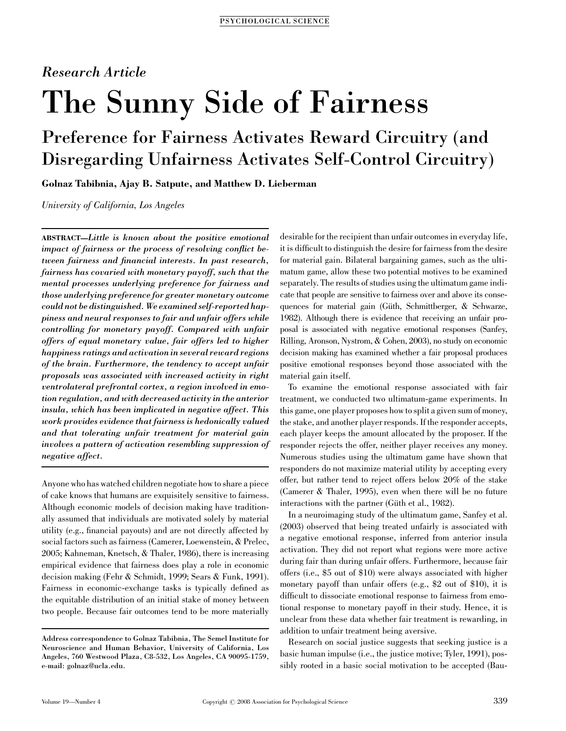### Research Article

# The Sunny Side of Fairness

## Preference for Fairness Activates Reward Circuitry (and Disregarding Unfairness Activates Self-Control Circuitry)

Golnaz Tabibnia, Ajay B. Satpute, and Matthew D. Lieberman

University of California, Los Angeles

ABSTRACT—Little is known about the positive emotional impact of fairness or the process of resolving conflict between fairness and financial interests. In past research, fairness has covaried with monetary payoff, such that the mental processes underlying preference for fairness and those underlying preference for greater monetary outcome could not be distinguished. We examined self-reported happiness and neural responses to fair and unfair offers while controlling for monetary payoff. Compared with unfair offers of equal monetary value, fair offers led to higher happiness ratings and activation in several reward regions of the brain. Furthermore, the tendency to accept unfair proposals was associated with increased activity in right ventrolateral prefrontal cortex, a region involved in emotion regulation, and with decreased activity in the anterior insula, which has been implicated in negative affect. This work provides evidence that fairness is hedonically valued and that tolerating unfair treatment for material gain involves a pattern of activation resembling suppression of negative affect.

Anyone who has watched children negotiate how to share a piece of cake knows that humans are exquisitely sensitive to fairness. Although economic models of decision making have traditionally assumed that individuals are motivated solely by material utility (e.g., financial payouts) and are not directly affected by social factors such as fairness (Camerer, Loewenstein, & Prelec, 2005; Kahneman, Knetsch, & Thaler, 1986), there is increasing empirical evidence that fairness does play a role in economic decision making (Fehr & Schmidt, 1999; Sears & Funk, 1991). Fairness in economic-exchange tasks is typically defined as the equitable distribution of an initial stake of money between two people. Because fair outcomes tend to be more materially desirable for the recipient than unfair outcomes in everyday life, it is difficult to distinguish the desire for fairness from the desire for material gain. Bilateral bargaining games, such as the ultimatum game, allow these two potential motives to be examined separately. The results of studies using the ultimatum game indicate that people are sensitive to fairness over and above its consequences for material gain (Güth, Schmittberger, & Schwarze, 1982). Although there is evidence that receiving an unfair proposal is associated with negative emotional responses (Sanfey, Rilling, Aronson, Nystrom, & Cohen, 2003), no study on economic decision making has examined whether a fair proposal produces positive emotional responses beyond those associated with the material gain itself.

To examine the emotional response associated with fair treatment, we conducted two ultimatum-game experiments. In this game, one player proposes how to split a given sum of money, the stake, and another player responds. If the responder accepts, each player keeps the amount allocated by the proposer. If the responder rejects the offer, neither player receives any money. Numerous studies using the ultimatum game have shown that responders do not maximize material utility by accepting every offer, but rather tend to reject offers below 20% of the stake (Camerer & Thaler, 1995), even when there will be no future interactions with the partner (Güth et al., 1982).

In a neuroimaging study of the ultimatum game, Sanfey et al. (2003) observed that being treated unfairly is associated with a negative emotional response, inferred from anterior insula activation. They did not report what regions were more active during fair than during unfair offers. Furthermore, because fair offers (i.e., \$5 out of \$10) were always associated with higher monetary payoff than unfair offers (e.g., \$2 out of \$10), it is difficult to dissociate emotional response to fairness from emotional response to monetary payoff in their study. Hence, it is unclear from these data whether fair treatment is rewarding, in addition to unfair treatment being aversive.

Research on social justice suggests that seeking justice is a basic human impulse (i.e., the justice motive; Tyler, 1991), possibly rooted in a basic social motivation to be accepted (Bau-

Address correspondence to Golnaz Tabibnia, The Semel Institute for Neuroscience and Human Behavior, University of California, Los Angeles, 760 Westwood Plaza, C8-532, Los Angeles, CA 90095-1759, e-mail: golnaz@ucla.edu.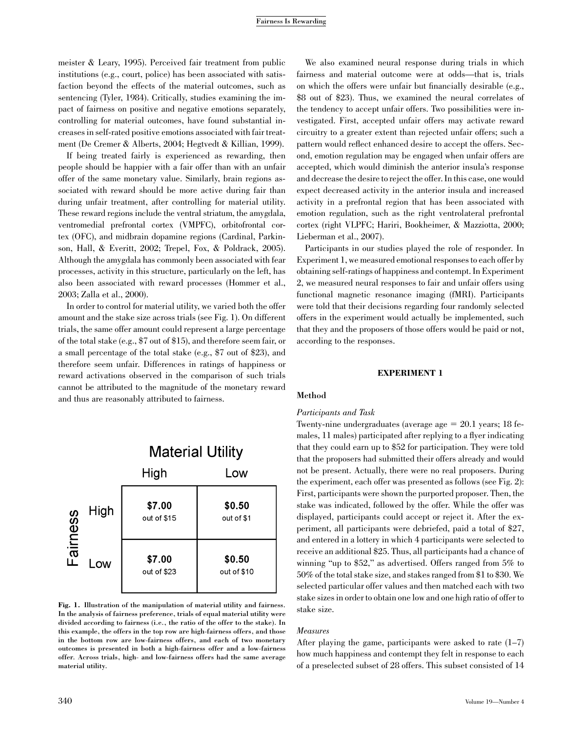meister & Leary, 1995). Perceived fair treatment from public institutions (e.g., court, police) has been associated with satisfaction beyond the effects of the material outcomes, such as sentencing (Tyler, 1984). Critically, studies examining the impact of fairness on positive and negative emotions separately, controlling for material outcomes, have found substantial increases in self-rated positive emotions associated with fair treatment (De Cremer & Alberts, 2004; Hegtvedt & Killian, 1999).

If being treated fairly is experienced as rewarding, then people should be happier with a fair offer than with an unfair offer of the same monetary value. Similarly, brain regions associated with reward should be more active during fair than during unfair treatment, after controlling for material utility. These reward regions include the ventral striatum, the amygdala, ventromedial prefrontal cortex (VMPFC), orbitofrontal cortex (OFC), and midbrain dopamine regions (Cardinal, Parkinson, Hall, & Everitt, 2002; Trepel, Fox, & Poldrack, 2005). Although the amygdala has commonly been associated with fear processes, activity in this structure, particularly on the left, has also been associated with reward processes (Hommer et al., 2003; Zalla et al., 2000).

In order to control for material utility, we varied both the offer amount and the stake size across trials (see Fig. 1). On different trials, the same offer amount could represent a large percentage of the total stake (e.g., \$7 out of \$15), and therefore seem fair, or a small percentage of the total stake (e.g., \$7 out of \$23), and therefore seem unfair. Differences in ratings of happiness or reward activations observed in the comparison of such trials cannot be attributed to the magnitude of the monetary reward and thus are reasonably attributed to fairness.



Fig. 1. Illustration of the manipulation of material utility and fairness. In the analysis of fairness preference, trials of equal material utility were divided according to fairness (i.e., the ratio of the offer to the stake). In this example, the offers in the top row are high-fairness offers, and those in the bottom row are low-fairness offers, and each of two monetary outcomes is presented in both a high-fairness offer and a low-fairness offer. Across trials, high- and low-fairness offers had the same average material utility.

We also examined neural response during trials in which fairness and material outcome were at odds—that is, trials on which the offers were unfair but financially desirable (e.g., \$8 out of \$23). Thus, we examined the neural correlates of the tendency to accept unfair offers. Two possibilities were investigated. First, accepted unfair offers may activate reward circuitry to a greater extent than rejected unfair offers; such a pattern would reflect enhanced desire to accept the offers. Second, emotion regulation may be engaged when unfair offers are accepted, which would diminish the anterior insula's response and decrease the desire to reject the offer. In this case, one would expect decreased activity in the anterior insula and increased activity in a prefrontal region that has been associated with emotion regulation, such as the right ventrolateral prefrontal cortex (right VLPFC; Hariri, Bookheimer, & Mazziotta, 2000; Lieberman et al., 2007).

Participants in our studies played the role of responder. In Experiment 1, we measured emotional responses to each offer by obtaining self-ratings of happiness and contempt. In Experiment 2, we measured neural responses to fair and unfair offers using functional magnetic resonance imaging (fMRI). Participants were told that their decisions regarding four randomly selected offers in the experiment would actually be implemented, such that they and the proposers of those offers would be paid or not, according to the responses.

#### EXPERIMENT 1

#### Method

#### Participants and Task

Twenty-nine undergraduates (average age  $= 20.1$  years; 18 females, 11 males) participated after replying to a flyer indicating that they could earn up to \$52 for participation. They were told that the proposers had submitted their offers already and would not be present. Actually, there were no real proposers. During the experiment, each offer was presented as follows (see Fig. 2): First, participants were shown the purported proposer. Then, the stake was indicated, followed by the offer. While the offer was displayed, participants could accept or reject it. After the experiment, all participants were debriefed, paid a total of \$27, and entered in a lottery in which 4 participants were selected to receive an additional \$25. Thus, all participants had a chance of winning "up to \$52," as advertised. Offers ranged from 5% to 50% of the total stake size, and stakes ranged from \$1 to \$30. We selected particular offer values and then matched each with two stake sizes in order to obtain one low and one high ratio of offer to stake size.

#### Measures

After playing the game, participants were asked to rate  $(1–7)$ how much happiness and contempt they felt in response to each of a preselected subset of 28 offers. This subset consisted of 14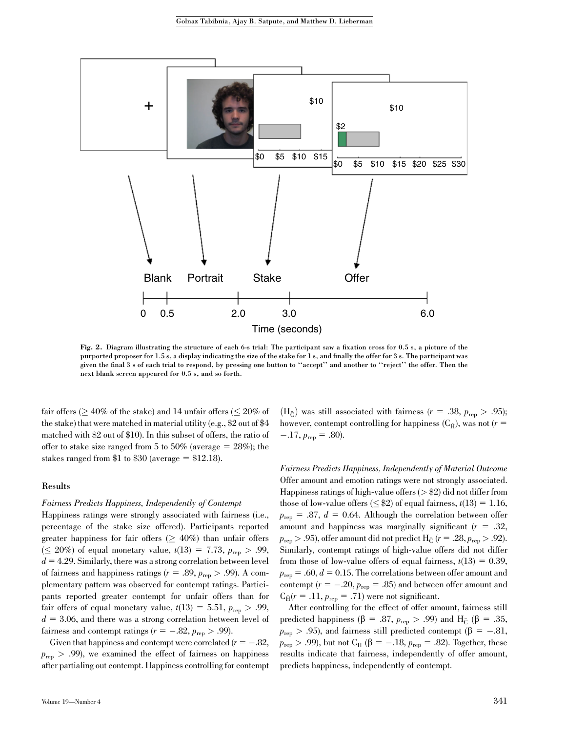

Fig. 2. Diagram illustrating the structure of each 6-s trial: The participant saw a fixation cross for 0.5 s, a picture of the purported proposer for 1.5 s, a display indicating the size of the stake for 1 s, and finally the offer for 3 s. The participant was given the final 3 s of each trial to respond, by pressing one button to ''accept'' and another to ''reject'' the offer. Then the next blank screen appeared for 0.5 s, and so forth.

fair offers ( $\geq 40\%$  of the stake) and 14 unfair offers ( $\leq 20\%$  of the stake) that were matched in material utility (e.g., \$2 out of \$4 matched with \$2 out of \$10). In this subset of offers, the ratio of offer to stake size ranged from 5 to 50% (average  $= 28\%$ ); the stakes ranged from \$1 to \$30 (average  $= $12.18$ ).

#### Results

#### Fairness Predicts Happiness, Independently of Contempt

Happiness ratings were strongly associated with fairness (i.e., percentage of the stake size offered). Participants reported greater happiness for fair offers  $( \geq 40\%)$  than unfair offers  $(\leq 20\%)$  of equal monetary value,  $t(13) = 7.73, p_{\text{rep}} > .99,$  $d = 4.29$ . Similarly, there was a strong correlation between level of fairness and happiness ratings ( $r = .89$ ,  $p_{\text{rep}} > .99$ ). A complementary pattern was observed for contempt ratings. Participants reported greater contempt for unfair offers than for fair offers of equal monetary value,  $t(13) = 5.51, p_{\text{rep}} > .99$ ,  $d = 3.06$ , and there was a strong correlation between level of fairness and contempt ratings ( $r = -.82$ ,  $p_{\text{rep}} > .99$ ).

Given that happiness and contempt were correlated  $(r = -.82, ...)$  $p_{\text{rep}} > .99$ , we examined the effect of fairness on happiness after partialing out contempt. Happiness controlling for contempt

 $(H_{\tilde{C}})$  was still associated with fairness ( $r = .38$ ,  $p_{\text{rep}} > .95$ ); however, contempt controlling for happiness  $(C_{\bar{H}})$ , was not (r =  $-.17, p_{\rm rep} = .80$ ).

Fairness Predicts Happiness, Independently of Material Outcome Offer amount and emotion ratings were not strongly associated. Happiness ratings of high-value offers  $($   $\gg$  \$2) did not differ from those of low-value offers ( $\leq$  \$2) of equal fairness,  $t(13) = 1.16$ ,  $p_{\text{rep}} = .87, d = 0.64$ . Although the correlation between offer amount and happiness was marginally significant  $(r = .32, )$  $p_{\text{rep}} > .95$ , offer amount did not predict H<sub>c</sub> ( $r = .28$ ,  $p_{\text{rep}} > .92$ ). Similarly, contempt ratings of high-value offers did not differ from those of low-value offers of equal fairness,  $t(13) = 0.39$ ,  $p_{\text{rep}} = .60, d = 0.15$ . The correlations between offer amount and contempt ( $r = -.20$ ,  $p_{\text{rep}} = .85$ ) and between offer amount and  $C_{\bar{H}}(r=.11, p_{ren}=.71)$  were not significant.

After controlling for the effect of offer amount, fairness still predicted happiness ( $\beta = .87$ ,  $p_{\text{rep}} > .99$ ) and H<sub>C</sub> ( $\beta = .35$ ,  $p_{\text{rep}} > .95$ ), and fairness still predicted contempt ( $\beta = -.81$ ,  $p_{\rm rep} > .99$ ), but not C<sub>H</sub> ( $\beta = -.18$ ,  $p_{\rm rep} = .82$ ). Together, these results indicate that fairness, independently of offer amount, predicts happiness, independently of contempt.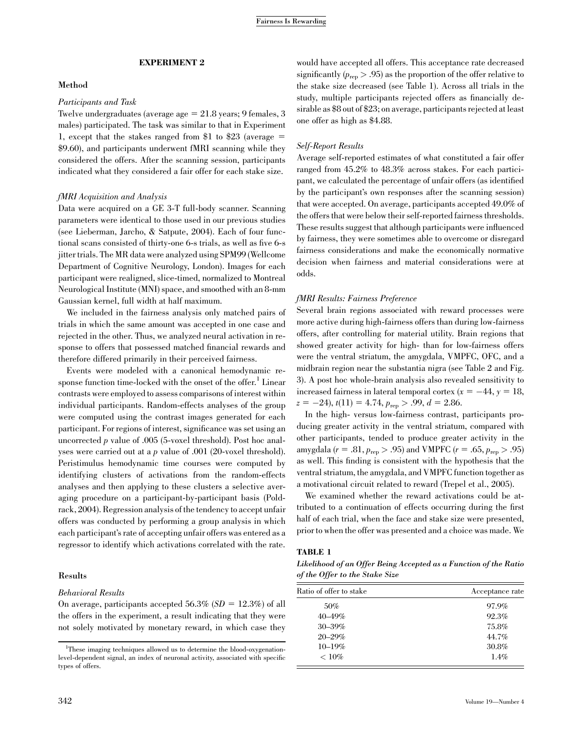#### EXPERIMENT 2

#### Method

#### Participants and Task

Twelve undergraduates (average age  $= 21.8$  years; 9 females, 3 males) participated. The task was similar to that in Experiment 1, except that the stakes ranged from \$1 to \$23 (average  $=$ \$9.60), and participants underwent fMRI scanning while they considered the offers. After the scanning session, participants indicated what they considered a fair offer for each stake size.

#### fMRI Acquisition and Analysis

Data were acquired on a GE 3-T full-body scanner. Scanning parameters were identical to those used in our previous studies (see Lieberman, Jarcho, & Satpute, 2004). Each of four functional scans consisted of thirty-one 6-s trials, as well as five 6-s jitter trials. The MR data were analyzed using SPM99 (Wellcome Department of Cognitive Neurology, London). Images for each participant were realigned, slice-timed, normalized to Montreal Neurological Institute (MNI) space, and smoothed with an 8-mm Gaussian kernel, full width at half maximum.

We included in the fairness analysis only matched pairs of trials in which the same amount was accepted in one case and rejected in the other. Thus, we analyzed neural activation in response to offers that possessed matched financial rewards and therefore differed primarily in their perceived fairness.

Events were modeled with a canonical hemodynamic response function time-locked with the onset of the offer.<sup>1</sup> Linear contrasts were employed to assess comparisons of interest within individual participants. Random-effects analyses of the group were computed using the contrast images generated for each participant. For regions of interest, significance was set using an uncorrected p value of .005 (5-voxel threshold). Post hoc analyses were carried out at a p value of .001 (20-voxel threshold). Peristimulus hemodynamic time courses were computed by identifying clusters of activations from the random-effects analyses and then applying to these clusters a selective averaging procedure on a participant-by-participant basis (Poldrack, 2004). Regression analysis of the tendency to accept unfair offers was conducted by performing a group analysis in which each participant's rate of accepting unfair offers was entered as a regressor to identify which activations correlated with the rate.

#### Results

#### Behavioral Results

On average, participants accepted 56.3% ( $SD = 12.3\%$ ) of all the offers in the experiment, a result indicating that they were not solely motivated by monetary reward, in which case they

#### Self-Report Results

Average self-reported estimates of what constituted a fair offer ranged from 45.2% to 48.3% across stakes. For each participant, we calculated the percentage of unfair offers (as identified by the participant's own responses after the scanning session) that were accepted. On average, participants accepted 49.0% of the offers that were below their self-reported fairness thresholds. These results suggest that although participants were influenced by fairness, they were sometimes able to overcome or disregard fairness considerations and make the economically normative decision when fairness and material considerations were at odds.

#### fMRI Results: Fairness Preference

Several brain regions associated with reward processes were more active during high-fairness offers than during low-fairness offers, after controlling for material utility. Brain regions that showed greater activity for high- than for low-fairness offers were the ventral striatum, the amygdala, VMPFC, OFC, and a midbrain region near the substantia nigra (see Table 2 and Fig. 3). A post hoc whole-brain analysis also revealed sensitivity to increased fairness in lateral temporal cortex ( $x = -44$ ,  $y = 18$ ,  $z = -24$ ),  $t(11) = 4.74$ ,  $p_{\text{rep}} > .99$ ,  $d = 2.86$ .

In the high- versus low-fairness contrast, participants producing greater activity in the ventral striatum, compared with other participants, tended to produce greater activity in the amygdala ( $r = .81$ ,  $p_{\text{rep}} > .95$ ) and VMPFC ( $r = .65$ ,  $p_{\text{rep}} > .95$ ) as well. This finding is consistent with the hypothesis that the ventral striatum, the amygdala, and VMPFC function together as a motivational circuit related to reward (Trepel et al., 2005).

We examined whether the reward activations could be attributed to a continuation of effects occurring during the first half of each trial, when the face and stake size were presented, prior to when the offer was presented and a choice was made. We

#### TABLE 1

| Likelihood of an Offer Being Accepted as a Function of the Ratio |  |  |
|------------------------------------------------------------------|--|--|
| of the Offer to the Stake Size                                   |  |  |

| Ratio of offer to stake | Acceptance rate |  |  |  |
|-------------------------|-----------------|--|--|--|
| 50%                     | 97.9%           |  |  |  |
| $40 - 49\%$             | 92.3%           |  |  |  |
| 30-39%                  | 75.8%           |  |  |  |
| $20 - 29\%$             | 44.7%           |  |  |  |
| $10 - 19\%$             | 30.8%           |  |  |  |
| $< 10\%$                | 1.4%            |  |  |  |

<sup>&</sup>lt;sup>1</sup>These imaging techniques allowed us to determine the blood-oxygenationlevel-dependent signal, an index of neuronal activity, associated with specific types of offers.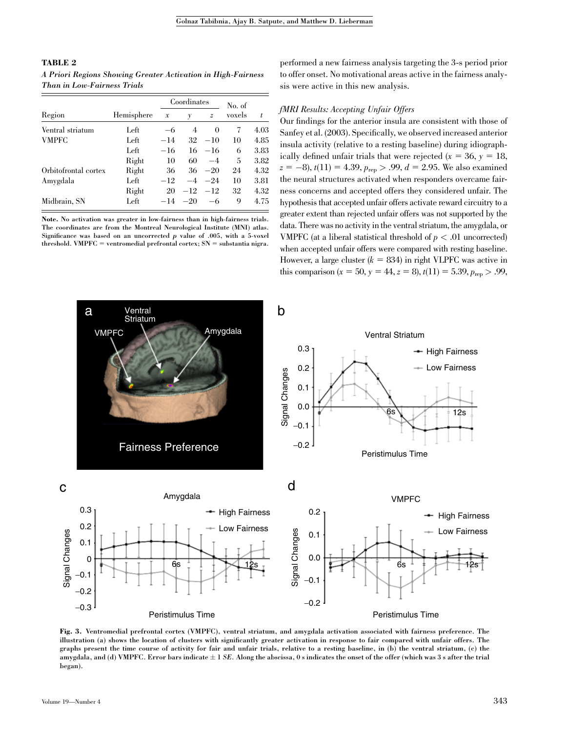| TABLE 2 |  |
|---------|--|
|---------|--|

A Priori Regions Showing Greater Activation in High-Fairness Than in Low-Fairness Trials

|                      |            | Coordinates                |          | No. of           |        |      |
|----------------------|------------|----------------------------|----------|------------------|--------|------|
| Region               | Hemisphere | $\boldsymbol{\mathcal{X}}$ | $\gamma$ | $\boldsymbol{z}$ | voxels | t    |
| Ventral striatum     | Left       | $-6$                       | 4        | $\Omega$         | 7      | 4.03 |
| <b>VMPFC</b>         | Left       | $-14$                      | 32       | $-10$            | 10     | 4.85 |
|                      | Left       | $-16$                      | 16       | $-16$            | 6      | 3.83 |
|                      | Right      | 10                         | 60       | $-4$             | 5      | 3.82 |
| Orbitofrontal cortex | Right      | 36                         | 36       | $-20$            | 24     | 4.32 |
| Amygdala             | Left       | $-12$                      | $-4$     | $-24$            | 10     | 3.81 |
|                      | Right      | 20                         | $-12$    | $-12$            | 32     | 4.32 |
| Midbrain, SN         | Left       | $-14$                      | $-20$    | $-6$             | 9      | 4.75 |

Note. No activation was greater in low-fairness than in high-fairness trials. The coordinates are from the Montreal Neurological Institute (MNI) atlas. Significance was based on an uncorrected  $p$  value of .005, with a 5-voxel threshold. VMPFC = ventromedial prefrontal cortex;  $SN =$  substantia nigra. performed a new fairness analysis targeting the 3-s period prior to offer onset. No motivational areas active in the fairness analysis were active in this new analysis.

#### fMRI Results: Accepting Unfair Offers

Our findings for the anterior insula are consistent with those of Sanfey et al. (2003). Specifically, we observed increased anterior insula activity (relative to a resting baseline) during idiographically defined unfair trials that were rejected ( $x = 36$ ,  $y = 18$ ,  $z = -8$ ,  $t(11) = 4.39, p_{\text{rep}} > .99, d = 2.95$ . We also examined the neural structures activated when responders overcame fairness concerns and accepted offers they considered unfair. The hypothesis that accepted unfair offers activate reward circuitry to a greater extent than rejected unfair offers was not supported by the data. There was no activity in the ventral striatum, the amygdala, or VMPFC (at a liberal statistical threshold of  $p < .01$  uncorrected) when accepted unfair offers were compared with resting baseline. However, a large cluster  $(k = 834)$  in right VLPFC was active in this comparison ( $x = 50$ ,  $y = 44$ ,  $z = 8$ ),  $t(11) = 5.39$ ,  $p_{\text{rep}} > .99$ ,



Fig. 3. Ventromedial prefrontal cortex (VMPFC), ventral striatum, and amygdala activation associated with fairness preference. The illustration (a) shows the location of clusters with significantly greater activation in response to fair compared with unfair offers. The graphs present the time course of activity for fair and unfair trials, relative to a resting baseline, in (b) the ventral striatum, (c) the amygdala, and (d) VMPFC. Error bars indicate  $\pm$  1 SE. Along the abscissa, 0 s indicates the onset of the offer (which was 3 s after the trial began).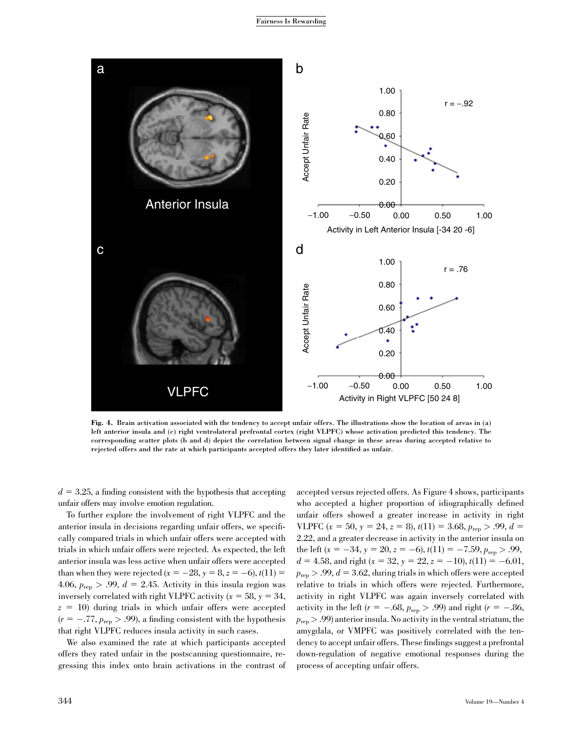

Fig. 4. Brain activation associated with the tendency to accept unfair offers. The illustrations show the location of areas in (a) left anterior insula and (c) right ventrolateral prefrontal cortex (right VLPFC) whose activation predicted this tendency. The corresponding scatter plots (b and d) depict the correlation between signal change in these areas during accepted relative to rejected offers and the rate at which participants accepted offers they later identified as unfair.

 $d = 3.25$ , a finding consistent with the hypothesis that accepting unfair offers may involve emotion regulation.

To further explore the involvement of right VLPFC and the anterior insula in decisions regarding unfair offers, we specifically compared trials in which unfair offers were accepted with trials in which unfair offers were rejected. As expected, the left anterior insula was less active when unfair offers were accepted than when they were rejected ( $x = -28$ ,  $y = 8$ ,  $z = -6$ ),  $t(11) =$ 4.06,  $p_{\text{rep}} > .99$ ,  $d = 2.45$ . Activity in this insula region was inversely correlated with right VLPFC activity ( $x = 58$ ,  $y = 34$ ,  $z = 10$ ) during trials in which unfair offers were accepted  $(r = -.77, p_{\text{rep}} > .99)$ , a finding consistent with the hypothesis that right VLPFC reduces insula activity in such cases.

We also examined the rate at which participants accepted offers they rated unfair in the postscanning questionnaire, regressing this index onto brain activations in the contrast of accepted versus rejected offers. As Figure 4 shows, participants who accepted a higher proportion of idiographically defined unfair offers showed a greater increase in activity in right VLPFC ( $x = 50$ ,  $y = 24$ ,  $z = 8$ ),  $t(11) = 3.68$ ,  $p_{rep} > .99$ ,  $d =$ 2.22, and a greater decrease in activity in the anterior insula on the left ( $x = -34$ ,  $y = 20$ ,  $z = -6$ ),  $t(11) = -7.59$ ,  $p_{\text{rep}} > .99$ ,  $d = 4.58$ , and right ( $x = 32$ ,  $y = 22$ ,  $z = -10$ ),  $t(11) = -6.01$ ,  $p_{\text{rep}} > .99, d = 3.62$ , during trials in which offers were accepted relative to trials in which offers were rejected. Furthermore, activity in right VLPFC was again inversely correlated with activity in the left ( $r = -.68$ ,  $p_{\text{rep}} > .99$ ) and right ( $r = -.86$ ,  $p_{\text{rep}} > .99$ ) anterior insula. No activity in the ventral striatum, the amygdala, or VMPFC was positively correlated with the tendency to accept unfair offers. These findings suggest a prefrontal down-regulation of negative emotional responses during the process of accepting unfair offers.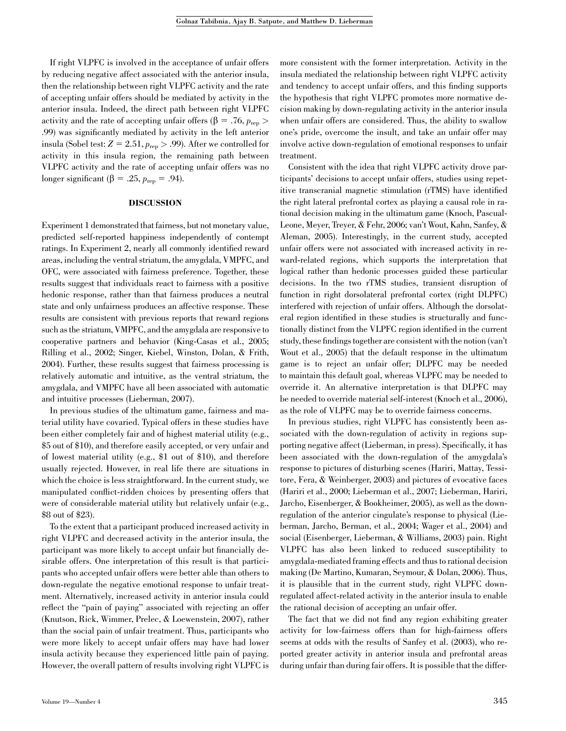If right VLPFC is involved in the acceptance of unfair offers by reducing negative affect associated with the anterior insula, then the relationship between right VLPFC activity and the rate of accepting unfair offers should be mediated by activity in the anterior insula. Indeed, the direct path between right VLPFC activity and the rate of accepting unfair offers ( $\beta = .76$ ,  $p_{\text{ren}} >$ .99) was significantly mediated by activity in the left anterior insula (Sobel test:  $Z = 2.51, p_{\text{rep}} > .99$ ). After we controlled for activity in this insula region, the remaining path between VLPFC activity and the rate of accepting unfair offers was no longer significant ( $\beta = .25$ ,  $p_{\text{rep}} = .94$ ).

#### DISCUSSION

Experiment 1 demonstrated that fairness, but not monetary value, predicted self-reported happiness independently of contempt ratings. In Experiment 2, nearly all commonly identified reward areas, including the ventral striatum, the amygdala, VMPFC, and OFC, were associated with fairness preference. Together, these results suggest that individuals react to fairness with a positive hedonic response, rather than that fairness produces a neutral state and only unfairness produces an affective response. These results are consistent with previous reports that reward regions such as the striatum, VMPFC, and the amygdala are responsive to cooperative partners and behavior (King-Casas et al., 2005; Rilling et al., 2002; Singer, Kiebel, Winston, Dolan, & Frith, 2004). Further, these results suggest that fairness processing is relatively automatic and intuitive, as the ventral striatum, the amygdala, and VMPFC have all been associated with automatic and intuitive processes (Lieberman, 2007).

In previous studies of the ultimatum game, fairness and material utility have covaried. Typical offers in these studies have been either completely fair and of highest material utility (e.g., \$5 out of \$10), and therefore easily accepted, or very unfair and of lowest material utility (e.g., \$1 out of \$10), and therefore usually rejected. However, in real life there are situations in which the choice is less straightforward. In the current study, we manipulated conflict-ridden choices by presenting offers that were of considerable material utility but relatively unfair (e.g., \$8 out of \$23).

To the extent that a participant produced increased activity in right VLPFC and decreased activity in the anterior insula, the participant was more likely to accept unfair but financially desirable offers. One interpretation of this result is that participants who accepted unfair offers were better able than others to down-regulate the negative emotional response to unfair treatment. Alternatively, increased activity in anterior insula could reflect the "pain of paying" associated with rejecting an offer (Knutson, Rick, Wimmer, Prelec, & Loewenstein, 2007), rather than the social pain of unfair treatment. Thus, participants who were more likely to accept unfair offers may have had lower insula activity because they experienced little pain of paying. However, the overall pattern of results involving right VLPFC is

more consistent with the former interpretation. Activity in the insula mediated the relationship between right VLPFC activity and tendency to accept unfair offers, and this finding supports the hypothesis that right VLPFC promotes more normative decision making by down-regulating activity in the anterior insula when unfair offers are considered. Thus, the ability to swallow one's pride, overcome the insult, and take an unfair offer may involve active down-regulation of emotional responses to unfair treatment.

Consistent with the idea that right VLPFC activity drove participants' decisions to accept unfair offers, studies using repetitive transcranial magnetic stimulation (rTMS) have identified the right lateral prefrontal cortex as playing a causal role in rational decision making in the ultimatum game (Knoch, Pascual-Leone, Meyer, Treyer, & Fehr, 2006; van't Wout, Kahn, Sanfey, & Aleman, 2005). Interestingly, in the current study, accepted unfair offers were not associated with increased activity in reward-related regions, which supports the interpretation that logical rather than hedonic processes guided these particular decisions. In the two rTMS studies, transient disruption of function in right dorsolateral prefrontal cortex (right DLPFC) interfered with rejection of unfair offers. Although the dorsolateral region identified in these studies is structurally and functionally distinct from the VLPFC region identified in the current study, these findings together are consistent with the notion (van't Wout et al., 2005) that the default response in the ultimatum game is to reject an unfair offer; DLPFC may be needed to maintain this default goal, whereas VLPFC may be needed to override it. An alternative interpretation is that DLPFC may be needed to override material self-interest (Knoch et al., 2006), as the role of VLPFC may be to override fairness concerns.

In previous studies, right VLPFC has consistently been associated with the down-regulation of activity in regions supporting negative affect (Lieberman, in press). Specifically, it has been associated with the down-regulation of the amygdala's response to pictures of disturbing scenes (Hariri, Mattay, Tessitore, Fera, & Weinberger, 2003) and pictures of evocative faces (Hariri et al., 2000; Lieberman et al., 2007; Lieberman, Hariri, Jarcho, Eisenberger, & Bookheimer, 2005), as well as the downregulation of the anterior cingulate's response to physical (Lieberman, Jarcho, Berman, et al., 2004; Wager et al., 2004) and social (Eisenberger, Lieberman, & Williams, 2003) pain. Right VLPFC has also been linked to reduced susceptibility to amygdala-mediated framing effects and thus to rational decision making (De Martino, Kumaran, Seymour, & Dolan, 2006). Thus, it is plausible that in the current study, right VLPFC downregulated affect-related activity in the anterior insula to enable the rational decision of accepting an unfair offer.

The fact that we did not find any region exhibiting greater activity for low-fairness offers than for high-fairness offers seems at odds with the results of Sanfey et al. (2003), who reported greater activity in anterior insula and prefrontal areas during unfair than during fair offers. It is possible that the differ-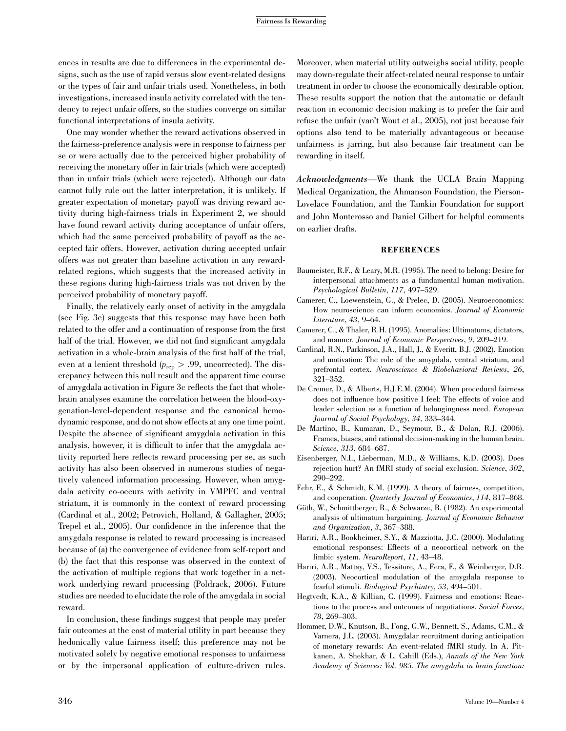ences in results are due to differences in the experimental designs, such as the use of rapid versus slow event-related designs or the types of fair and unfair trials used. Nonetheless, in both investigations, increased insula activity correlated with the tendency to reject unfair offers, so the studies converge on similar functional interpretations of insula activity.

One may wonder whether the reward activations observed in the fairness-preference analysis were in response to fairness per se or were actually due to the perceived higher probability of receiving the monetary offer in fair trials (which were accepted) than in unfair trials (which were rejected). Although our data cannot fully rule out the latter interpretation, it is unlikely. If greater expectation of monetary payoff was driving reward activity during high-fairness trials in Experiment 2, we should have found reward activity during acceptance of unfair offers, which had the same perceived probability of payoff as the accepted fair offers. However, activation during accepted unfair offers was not greater than baseline activation in any rewardrelated regions, which suggests that the increased activity in these regions during high-fairness trials was not driven by the perceived probability of monetary payoff.

Finally, the relatively early onset of activity in the amygdala (see Fig. 3c) suggests that this response may have been both related to the offer and a continuation of response from the first half of the trial. However, we did not find significant amygdala activation in a whole-brain analysis of the first half of the trial, even at a lenient threshold  $(p_{\text{rep}} > .99)$ , uncorrected). The discrepancy between this null result and the apparent time course of amygdala activation in Figure 3c reflects the fact that wholebrain analyses examine the correlation between the blood-oxygenation-level-dependent response and the canonical hemodynamic response, and do not show effects at any one time point. Despite the absence of significant amygdala activation in this analysis, however, it is difficult to infer that the amygdala activity reported here reflects reward processing per se, as such activity has also been observed in numerous studies of negatively valenced information processing. However, when amygdala activity co-occurs with activity in VMPFC and ventral striatum, it is commonly in the context of reward processing (Cardinal et al., 2002; Petrovich, Holland, & Gallagher, 2005; Trepel et al., 2005). Our confidence in the inference that the amygdala response is related to reward processing is increased because of (a) the convergence of evidence from self-report and (b) the fact that this response was observed in the context of the activation of multiple regions that work together in a network underlying reward processing (Poldrack, 2006). Future studies are needed to elucidate the role of the amygdala in social reward.

In conclusion, these findings suggest that people may prefer fair outcomes at the cost of material utility in part because they hedonically value fairness itself; this preference may not be motivated solely by negative emotional responses to unfairness or by the impersonal application of culture-driven rules.

Moreover, when material utility outweighs social utility, people may down-regulate their affect-related neural response to unfair treatment in order to choose the economically desirable option. These results support the notion that the automatic or default reaction in economic decision making is to prefer the fair and refuse the unfair (van't Wout et al., 2005), not just because fair options also tend to be materially advantageous or because unfairness is jarring, but also because fair treatment can be rewarding in itself.

Acknowledgments—We thank the UCLA Brain Mapping Medical Organization, the Ahmanson Foundation, the Pierson-Lovelace Foundation, and the Tamkin Foundation for support and John Monterosso and Daniel Gilbert for helpful comments on earlier drafts.

#### REFERENCES

- Baumeister, R.F., & Leary, M.R. (1995). The need to belong: Desire for interpersonal attachments as a fundamental human motivation. Psychological Bulletin, 117, 497–529.
- Camerer, C., Loewenstein, G., & Prelec, D. (2005). Neuroeconomics: How neuroscience can inform economics. Journal of Economic Literature, 43, 9–64.
- Camerer, C., & Thaler, R.H. (1995). Anomalies: Ultimatums, dictators, and manner. Journal of Economic Perspectives, 9, 209–219.
- Cardinal, R.N., Parkinson, J.A., Hall, J., & Everitt, B.J. (2002). Emotion and motivation: The role of the amygdala, ventral striatum, and prefrontal cortex. Neuroscience & Biobehavioral Reviews, 26, 321–352.
- De Cremer, D., & Alberts, H.J.E.M. (2004). When procedural fairness does not influence how positive I feel: The effects of voice and leader selection as a function of belongingness need. European Journal of Social Psychology, 34, 333–344.
- De Martino, B., Kumaran, D., Seymour, B., & Dolan, R.J. (2006). Frames, biases, and rational decision-making in the human brain. Science, 313, 684–687.
- Eisenberger, N.I., Lieberman, M.D., & Williams, K.D. (2003). Does rejection hurt? An fMRI study of social exclusion. Science, 302, 290–292.
- Fehr, E., & Schmidt, K.M. (1999). A theory of fairness, competition, and cooperation. Quarterly Journal of Economics, 114, 817–868.
- Güth, W., Schmittberger, R., & Schwarze, B. (1982). An experimental analysis of ultimatum bargaining. Journal of Economic Behavior and Organization, 3, 367–388.
- Hariri, A.R., Bookheimer, S.Y., & Mazziotta, J.C. (2000). Modulating emotional responses: Effects of a neocortical network on the limbic system. NeuroReport, 11, 43–48.
- Hariri, A.R., Mattay, V.S., Tessitore, A., Fera, F., & Weinberger, D.R. (2003). Neocortical modulation of the amygdala response to fearful stimuli. Biological Psychiatry, 53, 494–501.
- Hegtvedt, K.A., & Killian, C. (1999). Fairness and emotions: Reactions to the process and outcomes of negotiations. Social Forces, 78, 269–303.
- Hommer, D.W., Knutson, B., Fong, G.W., Bennett, S., Adams, C.M., & Varnera, J.L. (2003). Amygdalar recruitment during anticipation of monetary rewards: An event-related fMRI study. In A. Pitkanen, A. Shekhar, & L. Cahill (Eds.), Annals of the New York Academy of Sciences: Vol. 985. The amygdala in brain function: